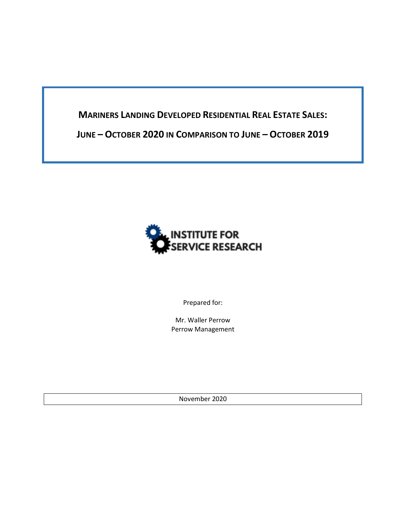# **MARINERS LANDING DEVELOPED RESIDENTIAL REAL ESTATE SALES:**

**JUNE – OCTOBER 2020 IN COMPARISON TO JUNE – OCTOBER 2019**



Prepared for:

Mr. Waller Perrow Perrow Management

November 2020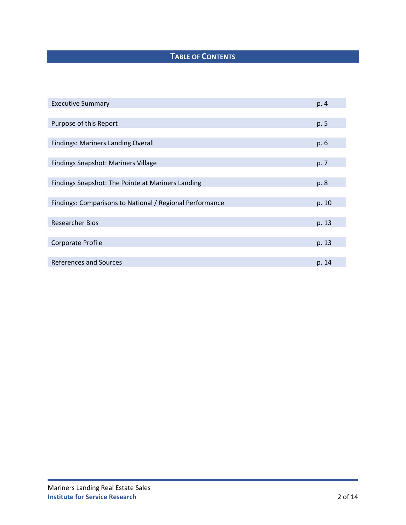# **TABLE OF CONTENTS**

| <b>Executive Summary</b>                                 | p. 4  |
|----------------------------------------------------------|-------|
|                                                          |       |
| Purpose of this Report                                   | p. 5  |
|                                                          |       |
| <b>Findings: Mariners Landing Overall</b>                | p. 6  |
|                                                          |       |
| <b>Findings Snapshot: Mariners Village</b>               | p. 7  |
|                                                          |       |
| Findings Snapshot: The Pointe at Mariners Landing        | p. 8  |
|                                                          |       |
| Findings: Comparisons to National / Regional Performance | p. 10 |
|                                                          |       |
| <b>Researcher Bios</b>                                   | p. 13 |
|                                                          |       |
| Corporate Profile                                        | p. 13 |
|                                                          |       |
| References and Sources                                   | p. 14 |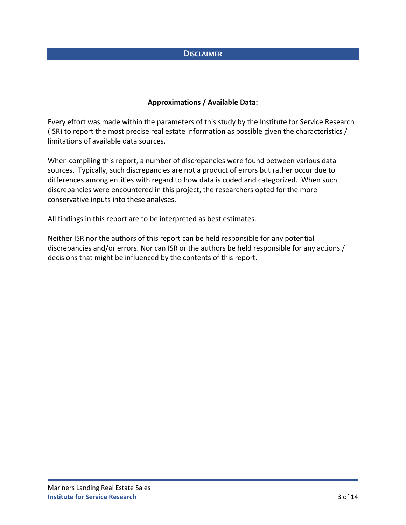# **DISCLAIMER**

# **Approximations / Available Data:**

Every effort was made within the parameters of this study by the Institute for Service Research (ISR) to report the most precise real estate information as possible given the characteristics / limitations of available data sources.

When compiling this report, a number of discrepancies were found between various data sources. Typically, such discrepancies are not a product of errors but rather occur due to differences among entities with regard to how data is coded and categorized. When such discrepancies were encountered in this project, the researchers opted for the more conservative inputs into these analyses.

All findings in this report are to be interpreted as best estimates.

Neither ISR nor the authors of this report can be held responsible for any potential discrepancies and/or errors. Nor can ISR or the authors be held responsible for any actions / decisions that might be influenced by the contents of this report.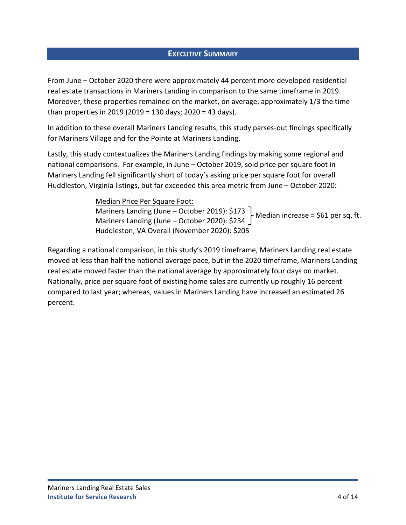# **EXECUTIVE SUMMARY**

From June – October 2020 there were approximately 44 percent more developed residential real estate transactions in Mariners Landing in comparison to the same timeframe in 2019. Moreover, these properties remained on the market, on average, approximately 1/3 the time than properties in 2019 (2019 = 130 days; 2020 = 43 days).

In addition to these overall Mariners Landing results, this study parses-out findings specifically for Mariners Village and for the Pointe at Mariners Landing.

Lastly, this study contextualizes the Mariners Landing findings by making some regional and national comparisons. For example, in June – October 2019, sold price per square foot in Mariners Landing fell significantly short of today's asking price per square foot for overall Huddleston, Virginia listings, but far exceeded this area metric from June – October 2020:

> Median Price Per Square Foot: Mariners Landing (June – October 2019): \$173 Mariners Landing (June – October 2020): \$234 Huddleston, VA Overall (November 2020): \$205 Median increase = \$61 per sq. ft.

Regarding a national comparison, in this study's 2019 timeframe, Mariners Landing real estate moved at less than half the national average pace, but in the 2020 timeframe, Mariners Landing real estate moved faster than the national average by approximately four days on market. Nationally, price per square foot of existing home sales are currently up roughly 16 percent compared to last year; whereas, values in Mariners Landing have increased an estimated 26 percent.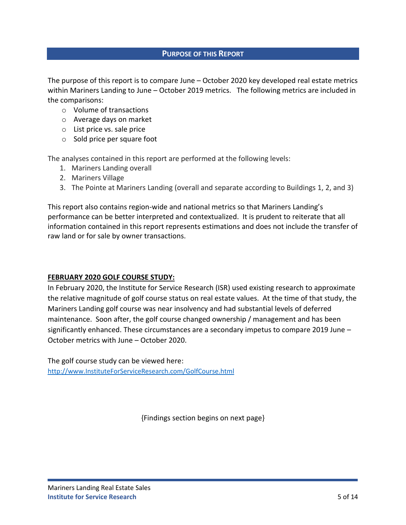# **PURPOSE OF THIS REPORT**

The purpose of this report is to compare June – October 2020 key developed real estate metrics within Mariners Landing to June – October 2019 metrics. The following metrics are included in the comparisons:

- o Volume of transactions
- o Average days on market
- o List price vs. sale price
- o Sold price per square foot

The analyses contained in this report are performed at the following levels:

- 1. Mariners Landing overall
- 2. Mariners Village
- 3. The Pointe at Mariners Landing (overall and separate according to Buildings 1, 2, and 3)

This report also contains region-wide and national metrics so that Mariners Landing's performance can be better interpreted and contextualized. It is prudent to reiterate that all information contained in this report represents estimations and does not include the transfer of raw land or for sale by owner transactions.

# **FEBRUARY 2020 GOLF COURSE STUDY:**

In February 2020, the Institute for Service Research (ISR) used existing research to approximate the relative magnitude of golf course status on real estate values. At the time of that study, the Mariners Landing golf course was near insolvency and had substantial levels of deferred maintenance. Soon after, the golf course changed ownership / management and has been significantly enhanced. These circumstances are a secondary impetus to compare 2019 June – October metrics with June – October 2020.

The golf course study can be viewed here: [http://www.InstituteForServiceResearch.com/GolfCourse.html](http://www.instituteforserviceresearch.com/GolfCourse.html)

{Findings section begins on next page}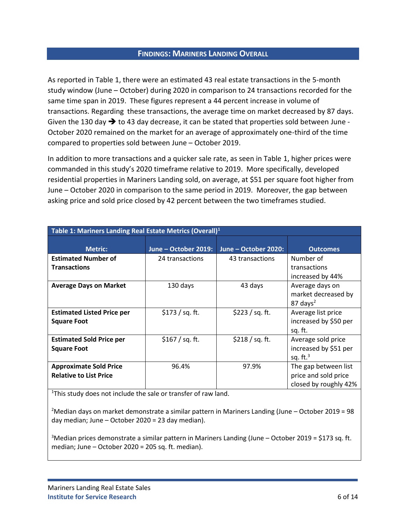#### **FINDINGS: MARINERS LANDING OVERALL**

As reported in Table 1, there were an estimated 43 real estate transactions in the 5-month study window (June – October) during 2020 in comparison to 24 transactions recorded for the same time span in 2019. These figures represent a 44 percent increase in volume of transactions. Regarding these transactions, the average time on market decreased by 87 days. Given the 130 day  $\rightarrow$  to 43 day decrease, it can be stated that properties sold between June -October 2020 remained on the market for an average of approximately one-third of the time compared to properties sold between June – October 2019.

In addition to more transactions and a quicker sale rate, as seen in Table 1, higher prices were commanded in this study's 2020 timeframe relative to 2019. More specifically, developed residential properties in Mariners Landing sold, on average, at \$51 per square foot higher from June – October 2020 in comparison to the same period in 2019. Moreover, the gap between asking price and sold price closed by 42 percent between the two timeframes studied.

| Table 1: Mariners Landing Real Estate Metrics (Overall) <sup>1</sup> |                      |                      |                                                                       |
|----------------------------------------------------------------------|----------------------|----------------------|-----------------------------------------------------------------------|
| <b>Metric:</b>                                                       | June - October 2019: | June - October 2020: | <b>Outcomes</b>                                                       |
| <b>Estimated Number of</b><br><b>Transactions</b>                    | 24 transactions      | 43 transactions      | Number of<br>transactions<br>increased by 44%                         |
| <b>Average Days on Market</b>                                        | 130 days             | 43 days              | Average days on<br>market decreased by<br>$87 \text{ days}^2$         |
| <b>Estimated Listed Price per</b><br><b>Square Foot</b>              | \$173 / sq. ft.      | \$223 / sq. ft.      | Average list price<br>increased by \$50 per<br>sq. ft.                |
| <b>Estimated Sold Price per</b><br><b>Square Foot</b>                | \$167 / sq. ft.      | \$218 / sq. ft.      | Average sold price<br>increased by \$51 per<br>sq. ft. $3$            |
| <b>Approximate Sold Price</b><br><b>Relative to List Price</b>       | 96.4%                | 97.9%                | The gap between list<br>price and sold price<br>closed by roughly 42% |

<sup>1</sup>This study does not include the sale or transfer of raw land.

<sup>2</sup>Median days on market demonstrate a similar pattern in Mariners Landing (June – October 2019 = 98 day median; June – October 2020 = 23 day median).

<sup>3</sup>Median prices demonstrate a similar pattern in Mariners Landing (June – October 2019 = \$173 sq. ft. median; June – October 2020 = 205 sq. ft. median).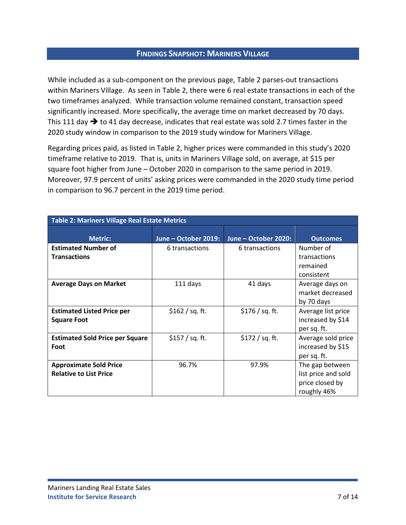#### **FINDINGS SNAPSHOT: MARINERS VILLAGE**

While included as a sub-component on the previous page, Table 2 parses-out transactions within Mariners Village. As seen in Table 2, there were 6 real estate transactions in each of the two timeframes analyzed. While transaction volume remained constant, transaction speed significantly increased. More specifically, the average time on market decreased by 70 days. This 111 day  $\rightarrow$  to 41 day decrease, indicates that real estate was sold 2.7 times faster in the 2020 study window in comparison to the 2019 study window for Mariners Village.

Regarding prices paid, as listed in Table 2, higher prices were commanded in this study's 2020 timeframe relative to 2019. That is, units in Mariners Village sold, on average, at \$15 per square foot higher from June – October 2020 in comparison to the same period in 2019. Moreover, 97.9 percent of units' asking prices were commanded in the 2020 study time period in comparison to 96.7 percent in the 2019 time period.

| Table 2: Mariners Village Real Estate Metrics |                      |                      |                     |
|-----------------------------------------------|----------------------|----------------------|---------------------|
|                                               |                      |                      |                     |
| <b>Metric:</b>                                | June - October 2019: | June - October 2020: | <b>Outcomes</b>     |
| <b>Estimated Number of</b>                    | 6 transactions       | 6 transactions       | Number of           |
| <b>Transactions</b>                           |                      |                      | transactions        |
|                                               |                      |                      | remained            |
|                                               |                      |                      | consistent          |
| <b>Average Days on Market</b>                 | 111 days             | 41 days              | Average days on     |
|                                               |                      |                      | market decreased    |
|                                               |                      |                      |                     |
|                                               |                      |                      | by 70 days          |
| <b>Estimated Listed Price per</b>             | \$162 / sq. ft.      | \$176 / sq. ft.      | Average list price  |
| <b>Square Foot</b>                            |                      |                      | increased by \$14   |
|                                               |                      |                      | per sq. ft.         |
| <b>Estimated Sold Price per Square</b>        | \$157 / sq. ft.      | \$172 / sq. ft.      | Average sold price  |
| Foot                                          |                      |                      | increased by \$15   |
|                                               |                      |                      | per sq. ft.         |
| <b>Approximate Sold Price</b>                 | 96.7%                | 97.9%                | The gap between     |
| <b>Relative to List Price</b>                 |                      |                      | list price and sold |
|                                               |                      |                      | price closed by     |
|                                               |                      |                      | roughly 46%         |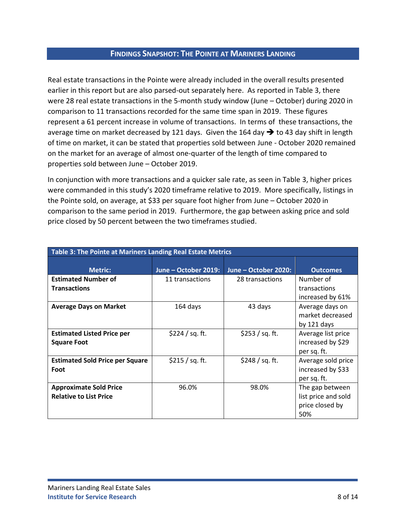#### **FINDINGS SNAPSHOT: THE POINTE AT MARINERS LANDING**

Real estate transactions in the Pointe were already included in the overall results presented earlier in this report but are also parsed-out separately here. As reported in Table 3, there were 28 real estate transactions in the 5-month study window (June – October) during 2020 in comparison to 11 transactions recorded for the same time span in 2019. These figures represent a 61 percent increase in volume of transactions. In terms of these transactions, the average time on market decreased by 121 days. Given the 164 day  $\rightarrow$  to 43 day shift in length of time on market, it can be stated that properties sold between June - October 2020 remained on the market for an average of almost one-quarter of the length of time compared to properties sold between June – October 2019.

In conjunction with more transactions and a quicker sale rate, as seen in Table 3, higher prices were commanded in this study's 2020 timeframe relative to 2019. More specifically, listings in the Pointe sold, on average, at \$33 per square foot higher from June – October 2020 in comparison to the same period in 2019. Furthermore, the gap between asking price and sold price closed by 50 percent between the two timeframes studied.

| Table 3: The Pointe at Mariners Landing Real Estate Metrics |                      |                      |                     |
|-------------------------------------------------------------|----------------------|----------------------|---------------------|
|                                                             |                      |                      |                     |
| <b>Metric:</b>                                              | June – October 2019: | June – October 2020: | <b>Outcomes</b>     |
| <b>Estimated Number of</b>                                  | 11 transactions      | 28 transactions      | Number of           |
| <b>Transactions</b>                                         |                      |                      | transactions        |
|                                                             |                      |                      | increased by 61%    |
| <b>Average Days on Market</b>                               | 164 days             | 43 days              | Average days on     |
|                                                             |                      |                      | market decreased    |
|                                                             |                      |                      | by 121 days         |
| <b>Estimated Listed Price per</b>                           | \$224 / sq. ft.      | \$253 / sq. ft.      | Average list price  |
| <b>Square Foot</b>                                          |                      |                      | increased by \$29   |
|                                                             |                      |                      | per sq. ft.         |
| <b>Estimated Sold Price per Square</b>                      | \$215 / sq. ft.      | \$248 / sq. ft.      | Average sold price  |
| Foot                                                        |                      |                      | increased by \$33   |
|                                                             |                      |                      | per sq. ft.         |
| <b>Approximate Sold Price</b>                               | 96.0%                | 98.0%                | The gap between     |
| <b>Relative to List Price</b>                               |                      |                      | list price and sold |
|                                                             |                      |                      | price closed by     |
|                                                             |                      |                      | 50%                 |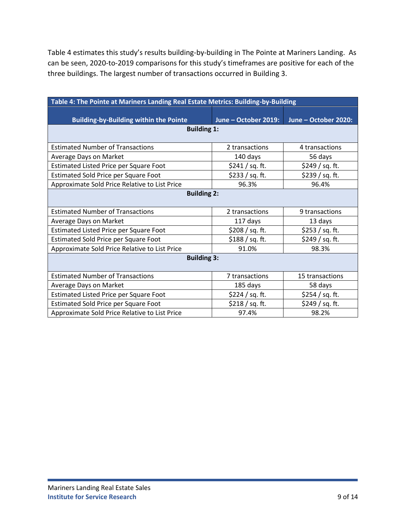Table 4 estimates this study's results building-by-building in The Pointe at Mariners Landing. As can be seen, 2020-to-2019 comparisons for this study's timeframes are positive for each of the three buildings. The largest number of transactions occurred in Building 3.

| Table 4: The Pointe at Mariners Landing Real Estate Metrics: Building-by-Building |                      |                      |  |
|-----------------------------------------------------------------------------------|----------------------|----------------------|--|
| <b>Building-by-Building within the Pointe</b>                                     | June - October 2019: | June - October 2020: |  |
| <b>Building 1:</b>                                                                |                      |                      |  |
| <b>Estimated Number of Transactions</b>                                           | 2 transactions       | 4 transactions       |  |
| Average Days on Market                                                            | 140 days             | 56 days              |  |
| Estimated Listed Price per Square Foot                                            | \$241 / sq. ft.      | \$249 / sq. ft.      |  |
| Estimated Sold Price per Square Foot                                              | \$233 / sq. ft.      | \$239 / sq. ft.      |  |
| Approximate Sold Price Relative to List Price                                     | 96.3%                | 96.4%                |  |
| <b>Building 2:</b>                                                                |                      |                      |  |
| <b>Estimated Number of Transactions</b>                                           | 2 transactions       | 9 transactions       |  |
| Average Days on Market                                                            | 117 days             | 13 days              |  |
| Estimated Listed Price per Square Foot                                            | \$208 / sq. ft.      | \$253 / sq. ft.      |  |
| Estimated Sold Price per Square Foot                                              | \$188 / sq. ft.      | \$249 / sq. ft.      |  |
| Approximate Sold Price Relative to List Price                                     | 91.0%                | 98.3%                |  |
| <b>Building 3:</b>                                                                |                      |                      |  |
| <b>Estimated Number of Transactions</b>                                           | 7 transactions       | 15 transactions      |  |
| Average Days on Market                                                            | 185 days             | 58 days              |  |
| Estimated Listed Price per Square Foot                                            | \$224 / sq. ft.      | \$254 / sq. ft.      |  |
| Estimated Sold Price per Square Foot                                              | \$218 / sq. ft.      | \$249 / sq. ft.      |  |
| Approximate Sold Price Relative to List Price                                     | 97.4%                | 98.2%                |  |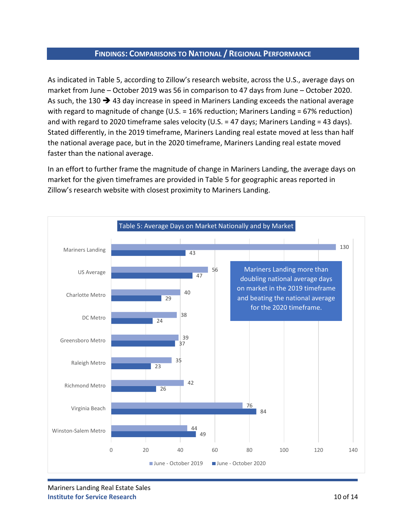## **FINDINGS: COMPARISONS TO NATIONAL / REGIONAL PERFORMANCE**

As indicated in Table 5, according to Zillow's research website, across the U.S., average days on market from June – October 2019 was 56 in comparison to 47 days from June – October 2020. As such, the 130 ➔ 43 day increase in speed in Mariners Landing exceeds the national average with regard to magnitude of change (U.S. = 16% reduction; Mariners Landing = 67% reduction) and with regard to 2020 timeframe sales velocity (U.S. = 47 days; Mariners Landing = 43 days). Stated differently, in the 2019 timeframe, Mariners Landing real estate moved at less than half the national average pace, but in the 2020 timeframe, Mariners Landing real estate moved faster than the national average.

In an effort to further frame the magnitude of change in Mariners Landing, the average days on market for the given timeframes are provided in Table 5 for geographic areas reported in Zillow's research website with closest proximity to Mariners Landing.



Mariners Landing Real Estate Sales **Institute for Service Research** 10 of 14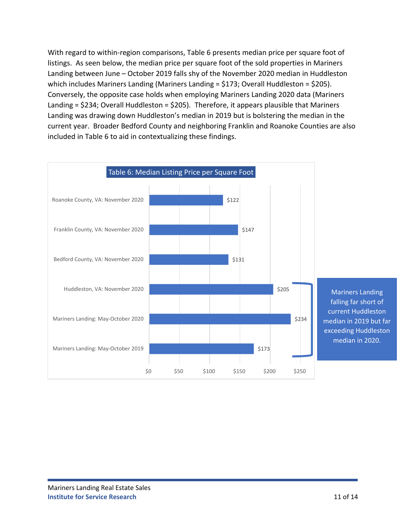With regard to within-region comparisons, Table 6 presents median price per square foot of listings. As seen below, the median price per square foot of the sold properties in Mariners Landing between June – October 2019 falls shy of the November 2020 median in Huddleston which includes Mariners Landing (Mariners Landing = \$173; Overall Huddleston = \$205). Conversely, the opposite case holds when employing Mariners Landing 2020 data (Mariners Landing = \$234; Overall Huddleston = \$205). Therefore, it appears plausible that Mariners Landing was drawing down Huddleston's median in 2019 but is bolstering the median in the current year. Broader Bedford County and neighboring Franklin and Roanoke Counties are also included in Table 6 to aid in contextualizing these findings.

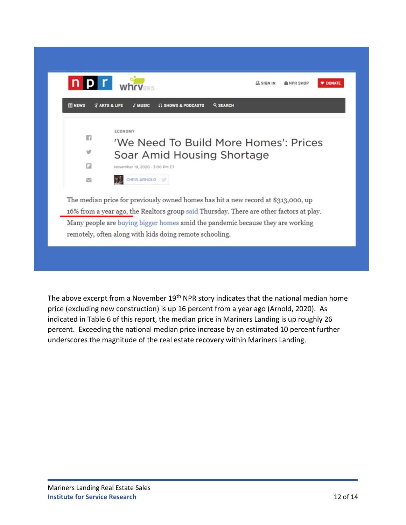

remotely, often along with kids doing remote schooling.

The above excerpt from a November 19<sup>th</sup> NPR story indicates that the national median home price (excluding new construction) is up 16 percent from a year ago (Arnold, 2020). As indicated in Table 6 of this report, the median price in Mariners Landing is up roughly 26 percent. Exceeding the national median price increase by an estimated 10 percent further underscores the magnitude of the real estate recovery within Mariners Landing.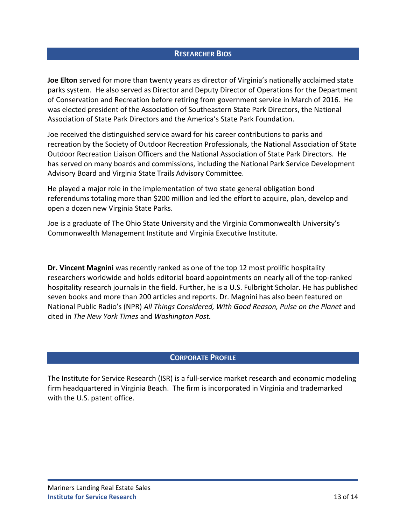## **RESEARCHER BIOS**

**Joe Elton** served for more than twenty years as director of Virginia's nationally acclaimed state parks system. He also served as Director and Deputy Director of Operations for the Department of Conservation and Recreation before retiring from government service in March of 2016. He was elected president of the Association of Southeastern State Park Directors, the National Association of State Park Directors and the America's State Park Foundation.

Joe received the distinguished service award for his career contributions to parks and recreation by the Society of Outdoor Recreation Professionals, the National Association of State Outdoor Recreation Liaison Officers and the National Association of State Park Directors. He has served on many boards and commissions, including the National Park Service Development Advisory Board and Virginia State Trails Advisory Committee.

He played a major role in the implementation of two state general obligation bond referendums totaling more than \$200 million and led the effort to acquire, plan, develop and open a dozen new Virginia State Parks.

Joe is a graduate of The Ohio State University and the Virginia Commonwealth University's Commonwealth Management Institute and Virginia Executive Institute.

**Dr. Vincent Magnini** was recently ranked as one of the top 12 most prolific hospitality researchers worldwide and holds editorial board appointments on nearly all of the top-ranked hospitality research journals in the field. Further, he is a U.S. Fulbright Scholar. He has published seven books and more than 200 articles and reports. Dr. Magnini has also been featured on National Public Radio's (NPR) *All Things Considered, With Good Reason, Pulse on the Planet* and cited in *The New York Times* and *Washington Post.*

## **CORPORATE PROFILE**

The Institute for Service Research (ISR) is a full-service market research and economic modeling firm headquartered in Virginia Beach. The firm is incorporated in Virginia and trademarked with the U.S. patent office.